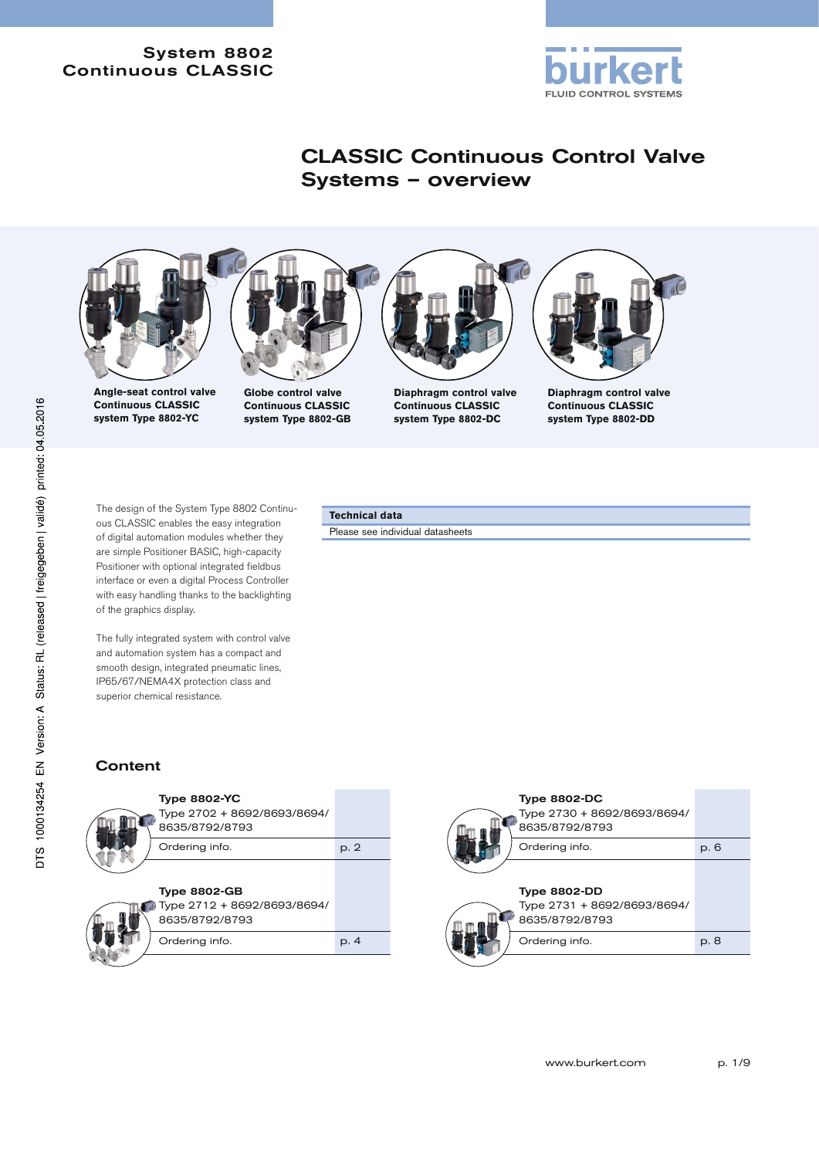

# CLASSIC Continuous Control Valve Systems – overview



The design of the System Type 8802 Continuous CLASSIC enables the easy integration

of digital automation modules whether they are simple Positioner BASIC, high-capacity Positioner with optional integrated fieldbus interface or even a digital Process Controller with easy handling thanks to the backlighting of the graphics display.

The fully integrated system with control valve and automation system has a compact and smooth design, integrated pneumatic lines, IP65/67/NEMA4X protection class and superior chemical resistance.

# **Technical data**

Please see individual datasheets

# **Content**



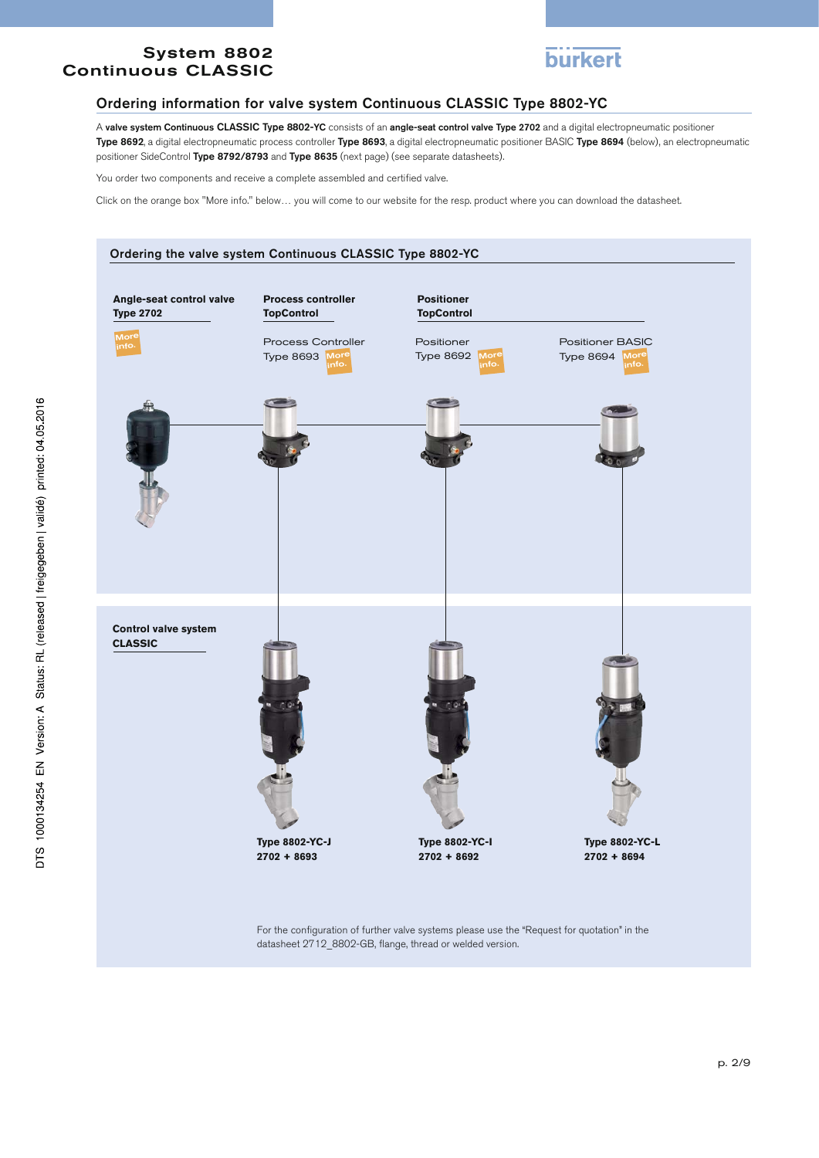

#### Ordering information for valve system Continuous CLASSIC Type 8802-YC

A valve system Continuous CLASSIC Type 8802-YC consists of an angle-seat control valve Type 2702 and a digital electropneumatic positioner Type 8692, a digital electropneumatic process controller Type 8693, a digital electropneumatic positioner BASIC Type 8694 (below), an electropneumatic positioner SideControl Type 8792/8793 and Type 8635 (next page) (see separate datasheets).

You order two components and receive a complete assembled and certified valve.

Click on the orange box "More info." below… you will come to our website for the resp. product where you can download the datasheet.

#### Ordering the valve system Continuous CLASSIC Type 8802-YC

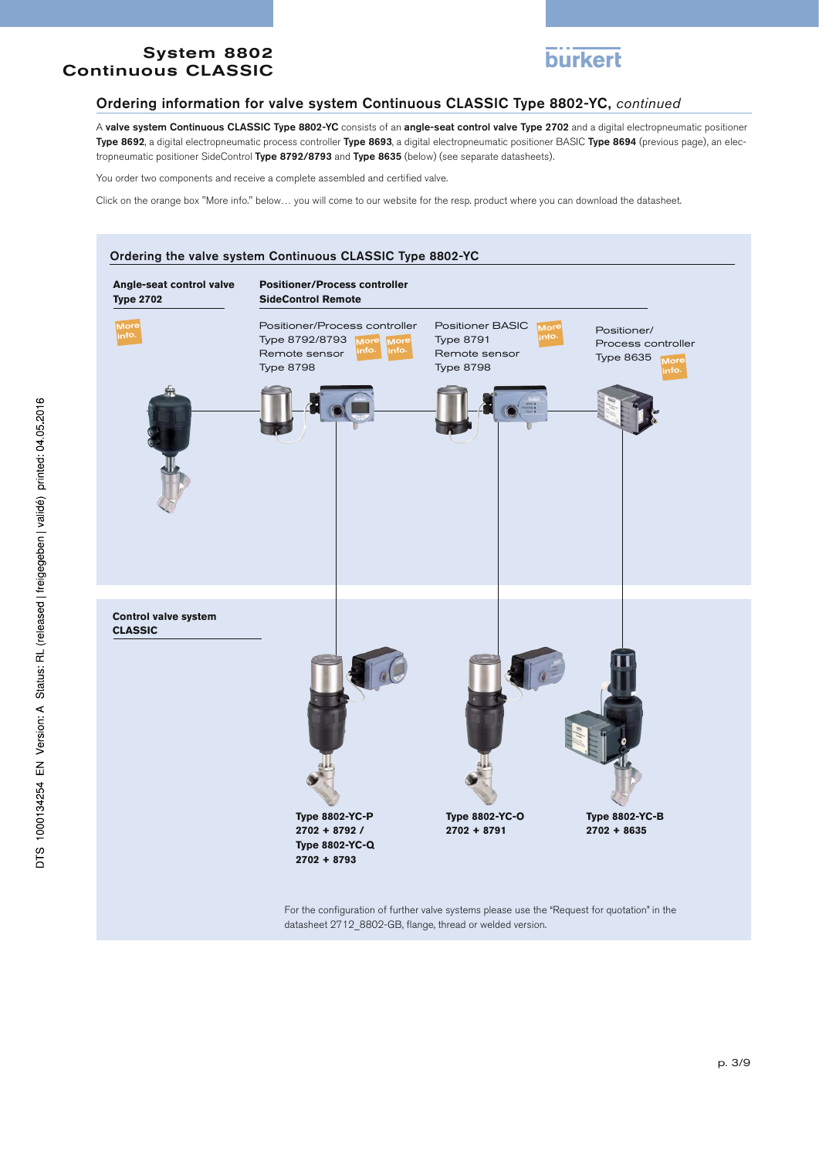

#### Ordering information for valve system Continuous CLASSIC Type 8802-YC, *continued*

A valve system Continuous CLASSIC Type 8802-YC consists of an angle-seat control valve Type 2702 and a digital electropneumatic positioner Type 8692, a digital electropneumatic process controller Type 8693, a digital electropneumatic positioner BASIC Type 8694 (previous page), an electropneumatic positioner SideControl Type 8792/8793 and Type 8635 (below) (see separate datasheets).

You order two components and receive a complete assembled and certified valve.

Click on the orange box "More info." below… you will come to our website for the resp. product where you can download the datasheet.



datasheet 2712\_8802-GB, flange, thread or welded version.

DTS 1000134254 EN Version: A Status: RL (released | freigegeben | validé) printed: 04.05.2016

p. 3/9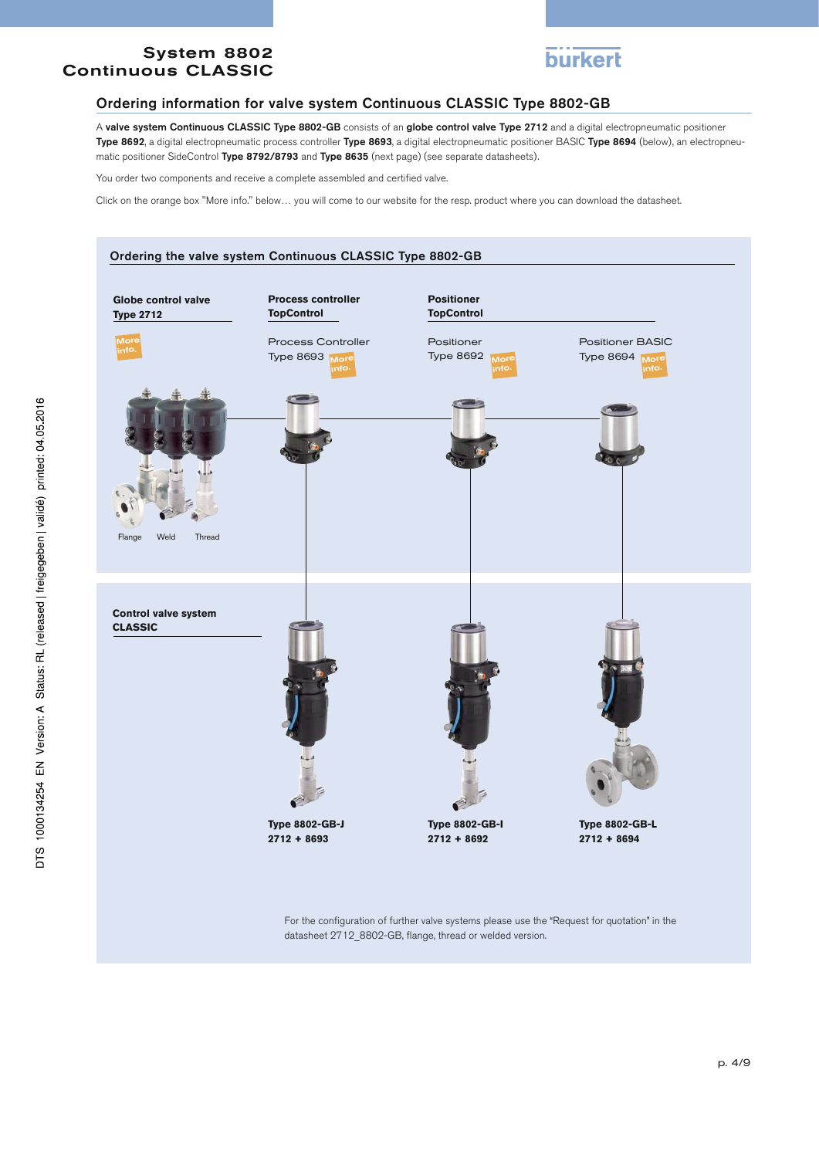

#### Ordering information for valve system Continuous CLASSIC Type 8802-GB

A valve system Continuous CLASSIC Type 8802-GB consists of an globe control valve Type 2712 and a digital electropneumatic positioner Type 8692, a digital electropneumatic process controller Type 8693, a digital electropneumatic positioner BASIC Type 8694 (below), an electropneumatic positioner SideControl Type 8792/8793 and Type 8635 (next page) (see separate datasheets).

You order two components and receive a complete assembled and certified valve.

Click on the orange box "More info." below… you will come to our website for the resp. product where you can download the datasheet.



datasheet 2712\_8802-GB, flange, thread or welded version.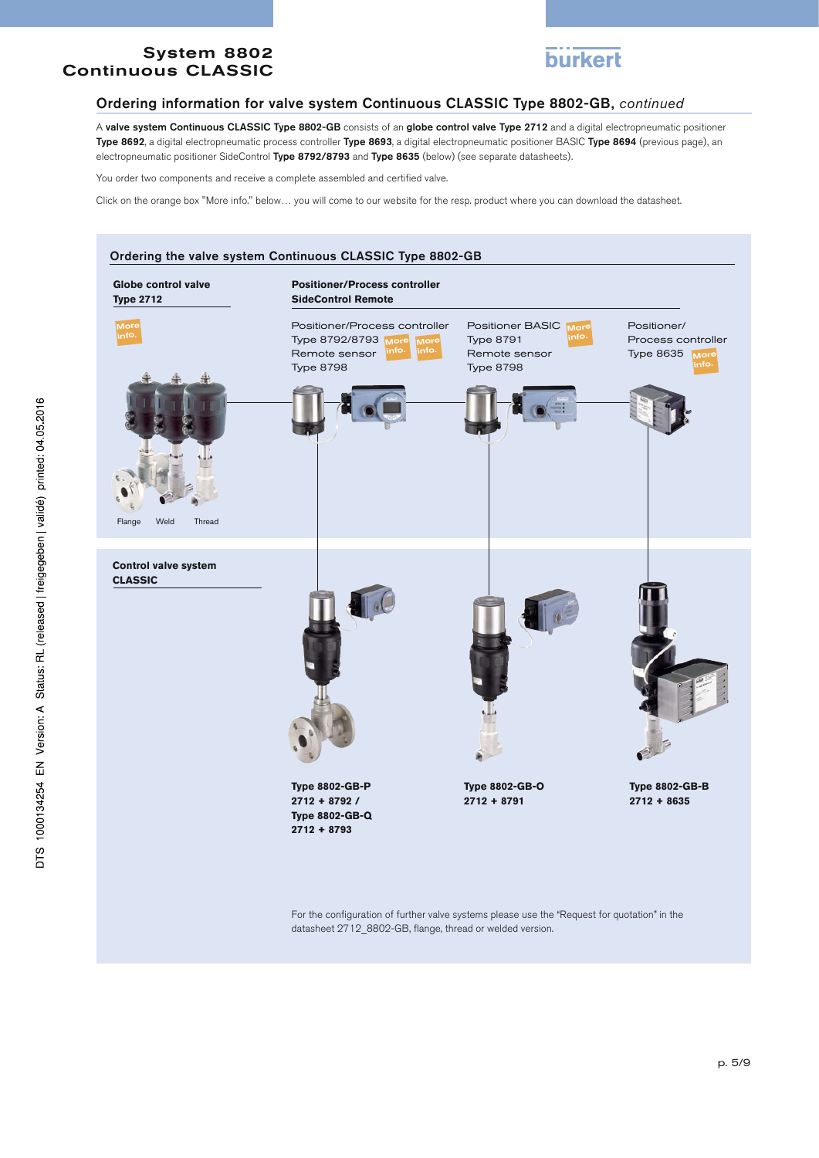

#### Ordering information for valve system Continuous CLASSIC Type 8802-GB, *continued*

A valve system Continuous CLASSIC Type 8802-GB consists of an globe control valve Type 2712 and a digital electropneumatic positioner Type 8692, a digital electropneumatic process controller Type 8693, a digital electropneumatic positioner BASIC Type 8694 (previous page), an electropneumatic positioner SideControl Type 8792/8793 and Type 8635 (below) (see separate datasheets).

You order two components and receive a complete assembled and certified valve.

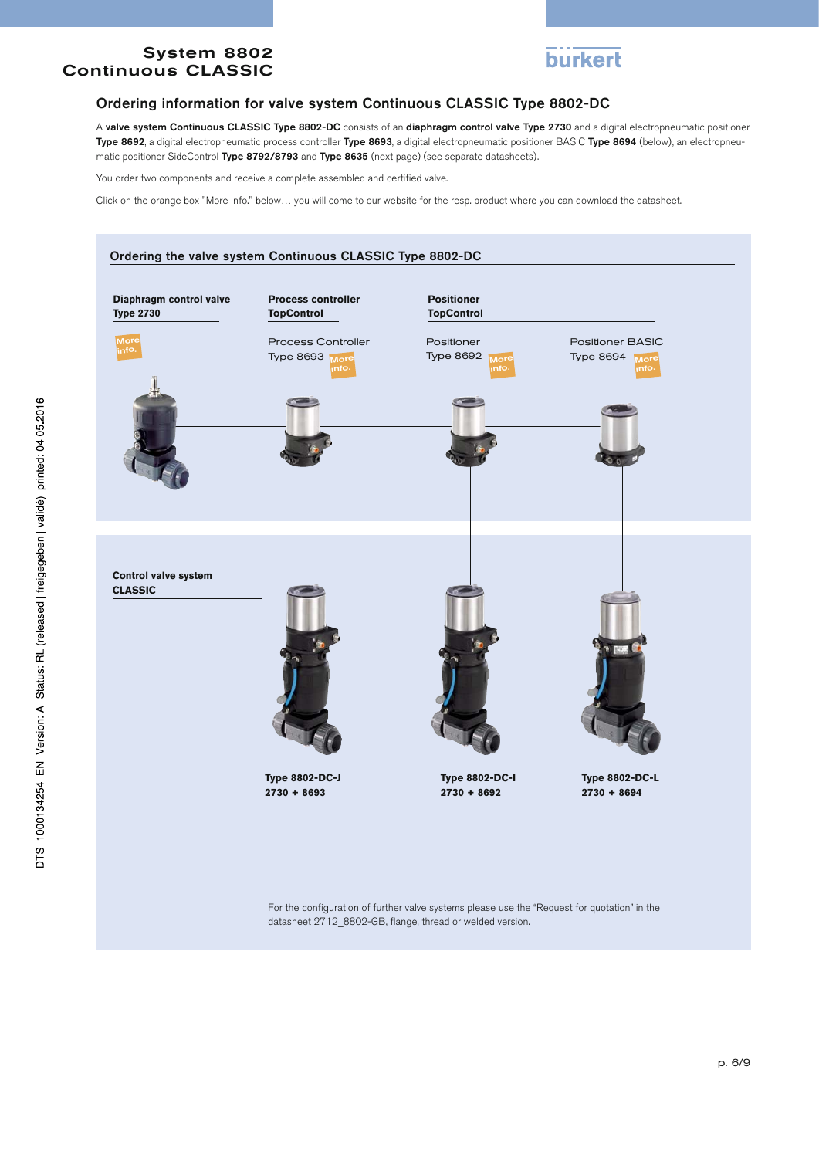

#### Ordering information for valve system Continuous CLASSIC Type 8802-DC

A valve system Continuous CLASSIC Type 8802-DC consists of an diaphragm control valve Type 2730 and a digital electropneumatic positioner Type 8692, a digital electropneumatic process controller Type 8693, a digital electropneumatic positioner BASIC Type 8694 (below), an electropneumatic positioner SideControl Type 8792/8793 and Type 8635 (next page) (see separate datasheets).

You order two components and receive a complete assembled and certified valve.

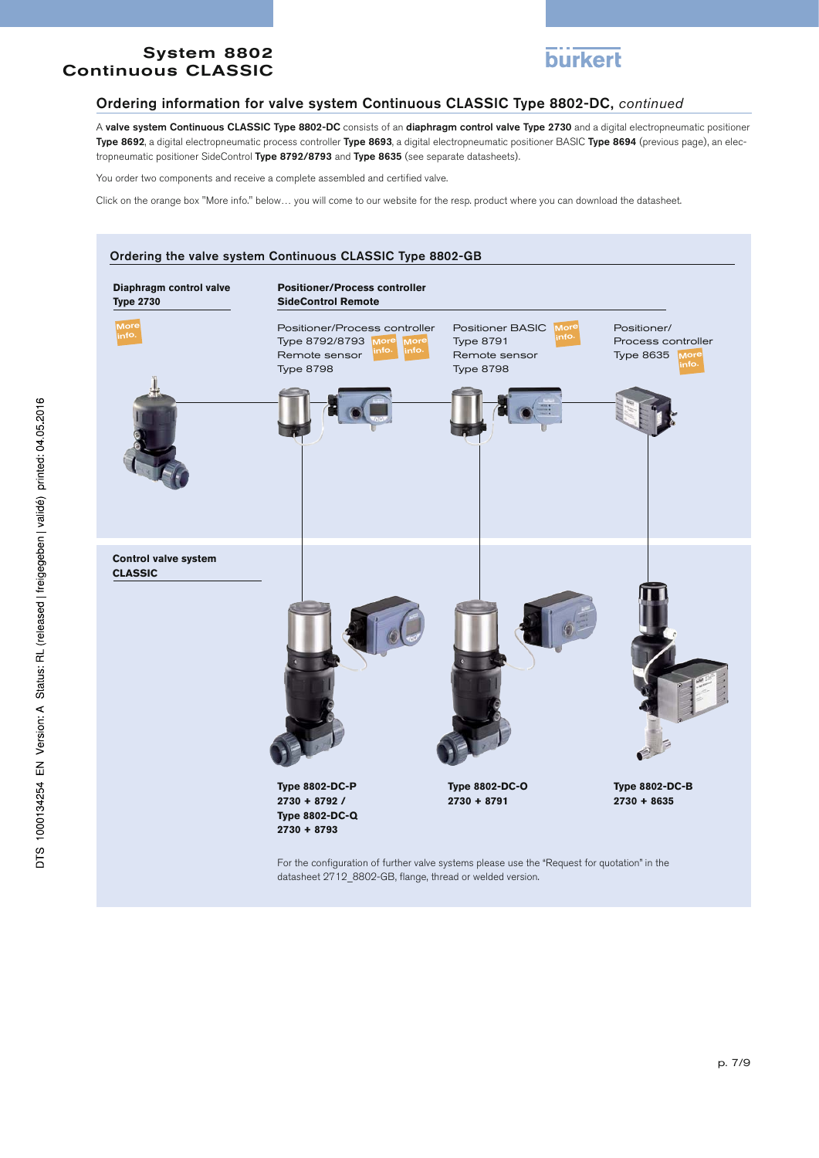

#### Ordering information for valve system Continuous CLASSIC Type 8802-DC, *continued*

A valve system Continuous CLASSIC Type 8802-DC consists of an diaphragm control valve Type 2730 and a digital electropneumatic positioner Type 8692, a digital electropneumatic process controller Type 8693, a digital electropneumatic positioner BASIC Type 8694 (previous page), an electropneumatic positioner SideControl Type 8792/8793 and Type 8635 (see separate datasheets).

You order two components and receive a complete assembled and certified valve.

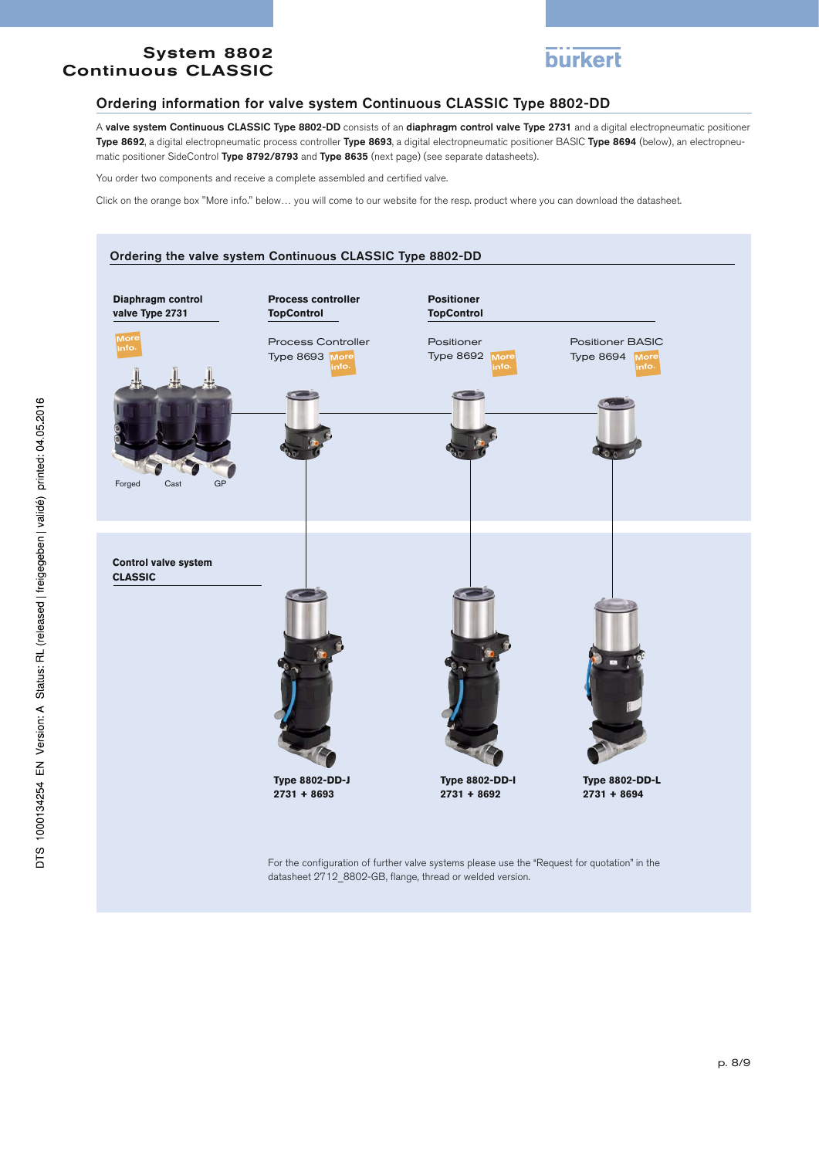

#### Ordering information for valve system Continuous CLASSIC Type 8802-DD

A valve system Continuous CLASSIC Type 8802-DD consists of an diaphragm control valve Type 2731 and a digital electropneumatic positioner Type 8692, a digital electropneumatic process controller Type 8693, a digital electropneumatic positioner BASIC Type 8694 (below), an electropneumatic positioner SideControl Type 8792/8793 and Type 8635 (next page) (see separate datasheets).

You order two components and receive a complete assembled and certified valve.